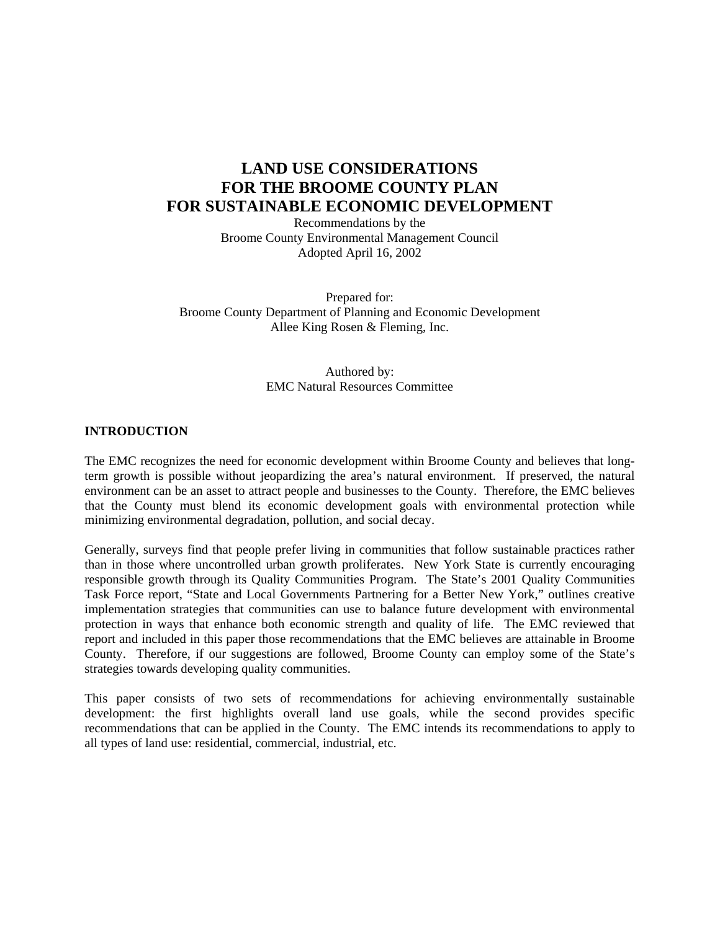## **LAND USE CONSIDERATIONS FOR THE BROOME COUNTY PLAN FOR SUSTAINABLE ECONOMIC DEVELOPMENT**

Recommendations by the Broome County Environmental Management Council Adopted April 16, 2002

Prepared for: Broome County Department of Planning and Economic Development Allee King Rosen & Fleming, Inc.

## Authored by: EMC Natural Resources Committee

## **INTRODUCTION**

The EMC recognizes the need for economic development within Broome County and believes that longterm growth is possible without jeopardizing the area's natural environment. If preserved, the natural environment can be an asset to attract people and businesses to the County. Therefore, the EMC believes that the County must blend its economic development goals with environmental protection while minimizing environmental degradation, pollution, and social decay.

Generally, surveys find that people prefer living in communities that follow sustainable practices rather than in those where uncontrolled urban growth proliferates. New York State is currently encouraging responsible growth through its Quality Communities Program. The State's 2001 Quality Communities Task Force report, "State and Local Governments Partnering for a Better New York," outlines creative implementation strategies that communities can use to balance future development with environmental protection in ways that enhance both economic strength and quality of life. The EMC reviewed that report and included in this paper those recommendations that the EMC believes are attainable in Broome County. Therefore, if our suggestions are followed, Broome County can employ some of the State's strategies towards developing quality communities.

This paper consists of two sets of recommendations for achieving environmentally sustainable development: the first highlights overall land use goals, while the second provides specific recommendations that can be applied in the County. The EMC intends its recommendations to apply to all types of land use: residential, commercial, industrial, etc.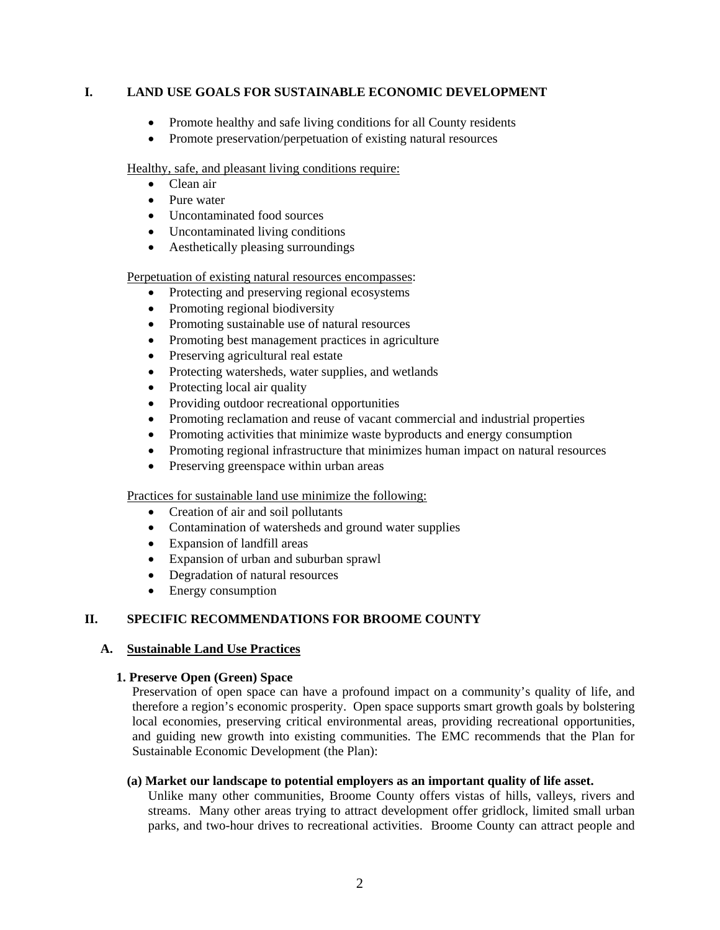## **I. LAND USE GOALS FOR SUSTAINABLE ECONOMIC DEVELOPMENT**

- Promote healthy and safe living conditions for all County residents
- Promote preservation/perpetuation of existing natural resources

Healthy, safe, and pleasant living conditions require:

- Clean air
- Pure water
- Uncontaminated food sources
- Uncontaminated living conditions
- Aesthetically pleasing surroundings

Perpetuation of existing natural resources encompasses:

- Protecting and preserving regional ecosystems
- Promoting regional biodiversity
- Promoting sustainable use of natural resources
- Promoting best management practices in agriculture
- Preserving agricultural real estate
- Protecting watersheds, water supplies, and wetlands
- Protecting local air quality
- Providing outdoor recreational opportunities
- Promoting reclamation and reuse of vacant commercial and industrial properties
- Promoting activities that minimize waste byproducts and energy consumption
- Promoting regional infrastructure that minimizes human impact on natural resources
- Preserving greenspace within urban areas

Practices for sustainable land use minimize the following:

- Creation of air and soil pollutants
- Contamination of watersheds and ground water supplies
- Expansion of landfill areas
- Expansion of urban and suburban sprawl
- Degradation of natural resources
- Energy consumption

## **II. SPECIFIC RECOMMENDATIONS FOR BROOME COUNTY**

## **A. Sustainable Land Use Practices**

## **1. Preserve Open (Green) Space**

Preservation of open space can have a profound impact on a community's quality of life, and therefore a region's economic prosperity. Open space supports smart growth goals by bolstering local economies, preserving critical environmental areas, providing recreational opportunities, and guiding new growth into existing communities. The EMC recommends that the Plan for Sustainable Economic Development (the Plan):

## **(a) Market our landscape to potential employers as an important quality of life asset.**

Unlike many other communities, Broome County offers vistas of hills, valleys, rivers and streams. Many other areas trying to attract development offer gridlock, limited small urban parks, and two-hour drives to recreational activities. Broome County can attract people and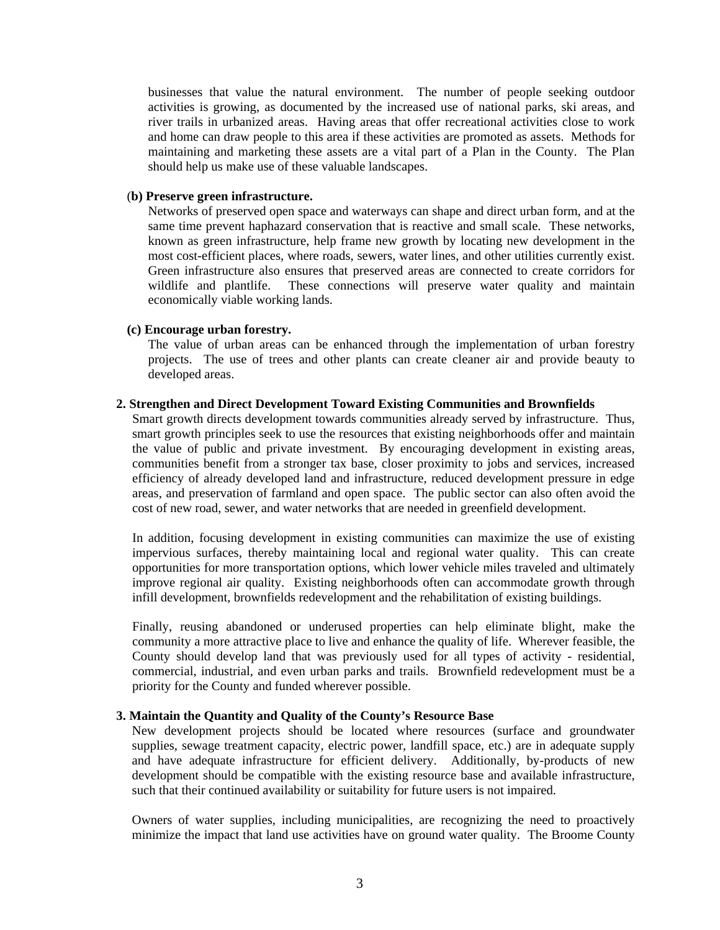businesses that value the natural environment. The number of people seeking outdoor activities is growing, as documented by the increased use of national parks, ski areas, and river trails in urbanized areas. Having areas that offer recreational activities close to work and home can draw people to this area if these activities are promoted as assets. Methods for maintaining and marketing these assets are a vital part of a Plan in the County. The Plan should help us make use of these valuable landscapes.

#### (**b) Preserve green infrastructure.**

Networks of preserved open space and waterways can shape and direct urban form, and at the same time prevent haphazard conservation that is reactive and small scale. These networks, known as green infrastructure, help frame new growth by locating new development in the most cost-efficient places, where roads, sewers, water lines, and other utilities currently exist. Green infrastructure also ensures that preserved areas are connected to create corridors for wildlife and plantlife. These connections will preserve water quality and maintain economically viable working lands.

#### **(c) Encourage urban forestry.**

The value of urban areas can be enhanced through the implementation of urban forestry projects. The use of trees and other plants can create cleaner air and provide beauty to developed areas.

#### **2. Strengthen and Direct Development Toward Existing Communities and Brownfields**

Smart growth directs development towards communities already served by infrastructure. Thus, smart growth principles seek to use the resources that existing neighborhoods offer and maintain the value of public and private investment. By encouraging development in existing areas, communities benefit from a stronger tax base, closer proximity to jobs and services, increased efficiency of already developed land and infrastructure, reduced development pressure in edge areas, and preservation of farmland and open space. The public sector can also often avoid the cost of new road, sewer, and water networks that are needed in greenfield development.

In addition, focusing development in existing communities can maximize the use of existing impervious surfaces, thereby maintaining local and regional water quality. This can create opportunities for more transportation options, which lower vehicle miles traveled and ultimately improve regional air quality. Existing neighborhoods often can accommodate growth through infill development, brownfields redevelopment and the rehabilitation of existing buildings.

Finally, reusing abandoned or underused properties can help eliminate blight, make the community a more attractive place to live and enhance the quality of life. Wherever feasible, the County should develop land that was previously used for all types of activity - residential, commercial, industrial, and even urban parks and trails. Brownfield redevelopment must be a priority for the County and funded wherever possible.

## **3. Maintain the Quantity and Quality of the County's Resource Base**

New development projects should be located where resources (surface and groundwater supplies, sewage treatment capacity, electric power, landfill space, etc.) are in adequate supply and have adequate infrastructure for efficient delivery. Additionally, by-products of new development should be compatible with the existing resource base and available infrastructure, such that their continued availability or suitability for future users is not impaired.

Owners of water supplies, including municipalities, are recognizing the need to proactively minimize the impact that land use activities have on ground water quality. The Broome County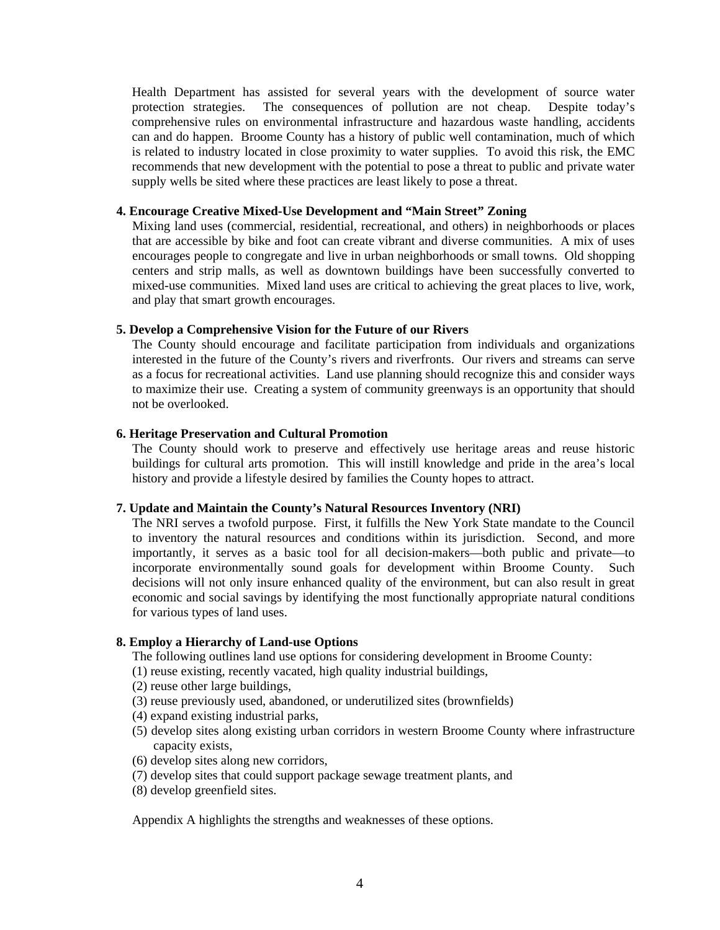Health Department has assisted for several years with the development of source water protection strategies. The consequences of pollution are not cheap. Despite today's comprehensive rules on environmental infrastructure and hazardous waste handling, accidents can and do happen. Broome County has a history of public well contamination, much of which is related to industry located in close proximity to water supplies. To avoid this risk, the EMC recommends that new development with the potential to pose a threat to public and private water supply wells be sited where these practices are least likely to pose a threat.

#### **4. Encourage Creative Mixed-Use Development and "Main Street" Zoning**

Mixing land uses (commercial, residential, recreational, and others) in neighborhoods or places that are accessible by bike and foot can create vibrant and diverse communities. A mix of uses encourages people to congregate and live in urban neighborhoods or small towns. Old shopping centers and strip malls, as well as downtown buildings have been successfully converted to mixed-use communities. Mixed land uses are critical to achieving the great places to live, work, and play that smart growth encourages.

## **5. Develop a Comprehensive Vision for the Future of our Rivers**

The County should encourage and facilitate participation from individuals and organizations interested in the future of the County's rivers and riverfronts. Our rivers and streams can serve as a focus for recreational activities. Land use planning should recognize this and consider ways to maximize their use. Creating a system of community greenways is an opportunity that should not be overlooked.

#### **6. Heritage Preservation and Cultural Promotion**

The County should work to preserve and effectively use heritage areas and reuse historic buildings for cultural arts promotion. This will instill knowledge and pride in the area's local history and provide a lifestyle desired by families the County hopes to attract.

## **7. Update and Maintain the County's Natural Resources Inventory (NRI)**

The NRI serves a twofold purpose. First, it fulfills the New York State mandate to the Council to inventory the natural resources and conditions within its jurisdiction. Second, and more importantly, it serves as a basic tool for all decision-makers—both public and private—to incorporate environmentally sound goals for development within Broome County. Such decisions will not only insure enhanced quality of the environment, but can also result in great economic and social savings by identifying the most functionally appropriate natural conditions for various types of land uses.

#### **8. Employ a Hierarchy of Land-use Options**

The following outlines land use options for considering development in Broome County:

(1) reuse existing, recently vacated, high quality industrial buildings,

- (2) reuse other large buildings,
- (3) reuse previously used, abandoned, or underutilized sites (brownfields)
- (4) expand existing industrial parks,
- (5) develop sites along existing urban corridors in western Broome County where infrastructure capacity exists,
- (6) develop sites along new corridors,
- (7) develop sites that could support package sewage treatment plants, and
- (8) develop greenfield sites.

Appendix A highlights the strengths and weaknesses of these options.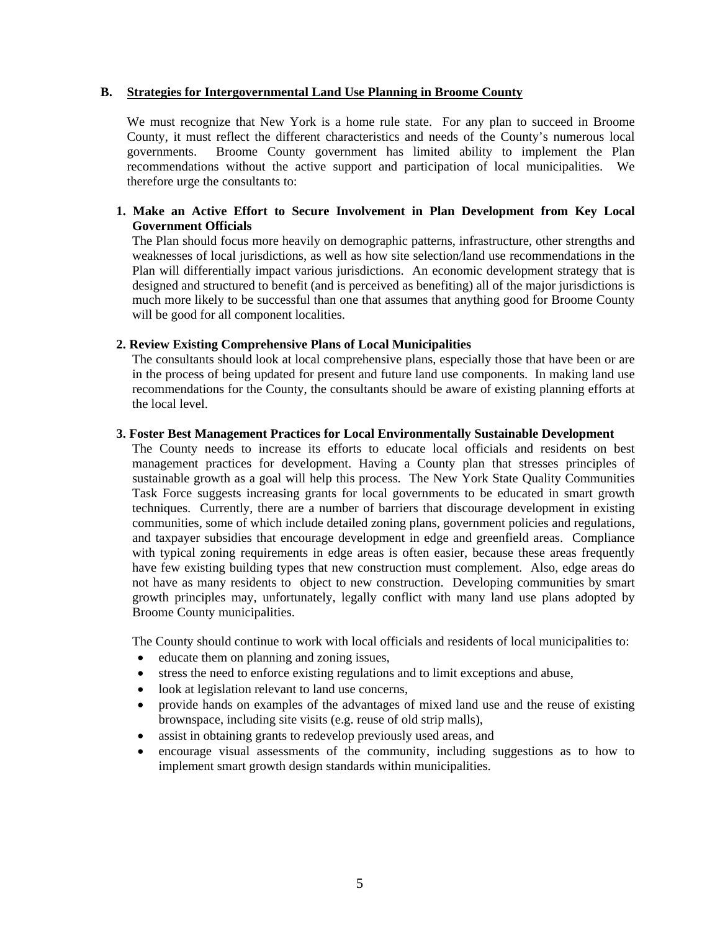#### **B. Strategies for Intergovernmental Land Use Planning in Broome County**

We must recognize that New York is a home rule state. For any plan to succeed in Broome County, it must reflect the different characteristics and needs of the County's numerous local governments. Broome County government has limited ability to implement the Plan recommendations without the active support and participation of local municipalities. We therefore urge the consultants to:

#### **1. Make an Active Effort to Secure Involvement in Plan Development from Key Local Government Officials**

The Plan should focus more heavily on demographic patterns, infrastructure, other strengths and weaknesses of local jurisdictions, as well as how site selection/land use recommendations in the Plan will differentially impact various jurisdictions. An economic development strategy that is designed and structured to benefit (and is perceived as benefiting) all of the major jurisdictions is much more likely to be successful than one that assumes that anything good for Broome County will be good for all component localities.

#### **2. Review Existing Comprehensive Plans of Local Municipalities**

The consultants should look at local comprehensive plans, especially those that have been or are in the process of being updated for present and future land use components. In making land use recommendations for the County, the consultants should be aware of existing planning efforts at the local level.

#### **3. Foster Best Management Practices for Local Environmentally Sustainable Development**

The County needs to increase its efforts to educate local officials and residents on best management practices for development. Having a County plan that stresses principles of sustainable growth as a goal will help this process. The New York State Quality Communities Task Force suggests increasing grants for local governments to be educated in smart growth techniques. Currently, there are a number of barriers that discourage development in existing communities, some of which include detailed zoning plans, government policies and regulations, and taxpayer subsidies that encourage development in edge and greenfield areas. Compliance with typical zoning requirements in edge areas is often easier, because these areas frequently have few existing building types that new construction must complement. Also, edge areas do not have as many residents to object to new construction. Developing communities by smart growth principles may, unfortunately, legally conflict with many land use plans adopted by Broome County municipalities.

The County should continue to work with local officials and residents of local municipalities to:

- educate them on planning and zoning issues,
- stress the need to enforce existing regulations and to limit exceptions and abuse,
- look at legislation relevant to land use concerns,
- provide hands on examples of the advantages of mixed land use and the reuse of existing brownspace, including site visits (e.g. reuse of old strip malls),
- assist in obtaining grants to redevelop previously used areas, and
- encourage visual assessments of the community, including suggestions as to how to implement smart growth design standards within municipalities.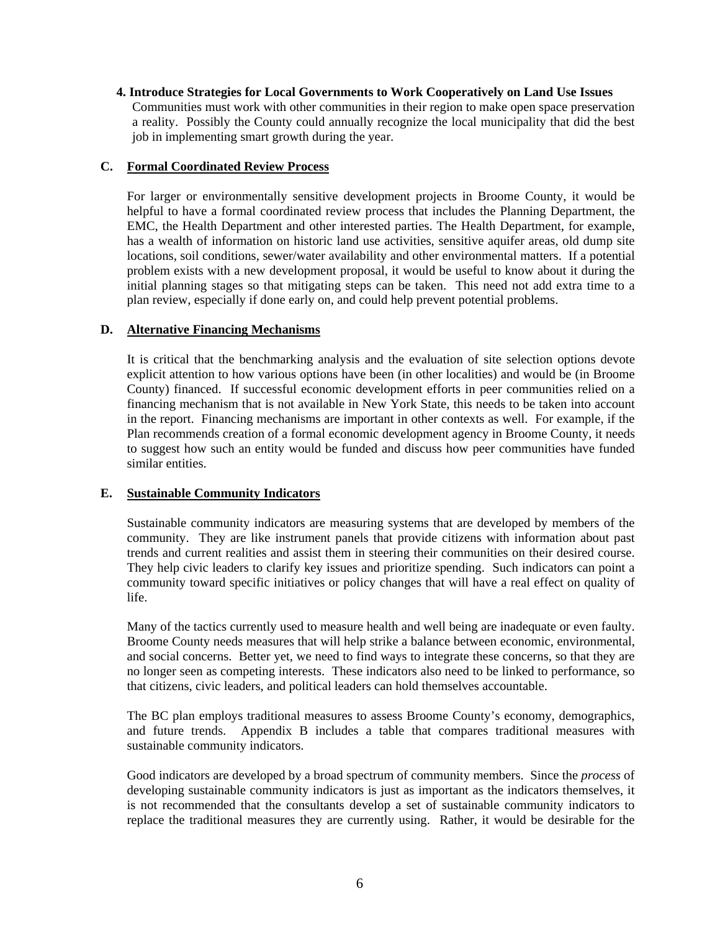#### **4. Introduce Strategies for Local Governments to Work Cooperatively on Land Use Issues**  Communities must work with other communities in their region to make open space preservation a reality. Possibly the County could annually recognize the local municipality that did the best job in implementing smart growth during the year.

## **C. Formal Coordinated Review Process**

 For larger or environmentally sensitive development projects in Broome County, it would be helpful to have a formal coordinated review process that includes the Planning Department, the EMC, the Health Department and other interested parties. The Health Department, for example, has a wealth of information on historic land use activities, sensitive aquifer areas, old dump site locations, soil conditions, sewer/water availability and other environmental matters. If a potential problem exists with a new development proposal, it would be useful to know about it during the initial planning stages so that mitigating steps can be taken. This need not add extra time to a plan review, especially if done early on, and could help prevent potential problems.

## **D. Alternative Financing Mechanisms**

It is critical that the benchmarking analysis and the evaluation of site selection options devote explicit attention to how various options have been (in other localities) and would be (in Broome County) financed. If successful economic development efforts in peer communities relied on a financing mechanism that is not available in New York State, this needs to be taken into account in the report. Financing mechanisms are important in other contexts as well. For example, if the Plan recommends creation of a formal economic development agency in Broome County, it needs to suggest how such an entity would be funded and discuss how peer communities have funded similar entities.

## **E. Sustainable Community Indicators**

Sustainable community indicators are measuring systems that are developed by members of the community. They are like instrument panels that provide citizens with information about past trends and current realities and assist them in steering their communities on their desired course. They help civic leaders to clarify key issues and prioritize spending. Such indicators can point a community toward specific initiatives or policy changes that will have a real effect on quality of life.

Many of the tactics currently used to measure health and well being are inadequate or even faulty. Broome County needs measures that will help strike a balance between economic, environmental, and social concerns. Better yet, we need to find ways to integrate these concerns, so that they are no longer seen as competing interests. These indicators also need to be linked to performance, so that citizens, civic leaders, and political leaders can hold themselves accountable.

The BC plan employs traditional measures to assess Broome County's economy, demographics, and future trends. Appendix B includes a table that compares traditional measures with sustainable community indicators.

Good indicators are developed by a broad spectrum of community members. Since the *process* of developing sustainable community indicators is just as important as the indicators themselves, it is not recommended that the consultants develop a set of sustainable community indicators to replace the traditional measures they are currently using. Rather, it would be desirable for the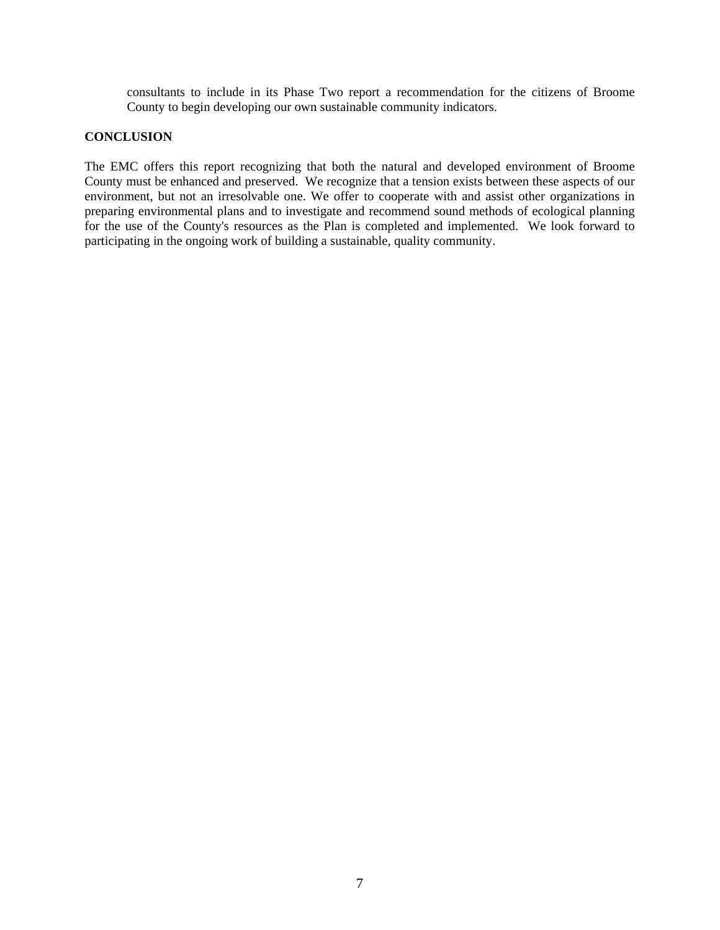consultants to include in its Phase Two report a recommendation for the citizens of Broome County to begin developing our own sustainable community indicators.

## **CONCLUSION**

The EMC offers this report recognizing that both the natural and developed environment of Broome County must be enhanced and preserved. We recognize that a tension exists between these aspects of our environment, but not an irresolvable one. We offer to cooperate with and assist other organizations in preparing environmental plans and to investigate and recommend sound methods of ecological planning for the use of the County's resources as the Plan is completed and implemented. We look forward to participating in the ongoing work of building a sustainable, quality community.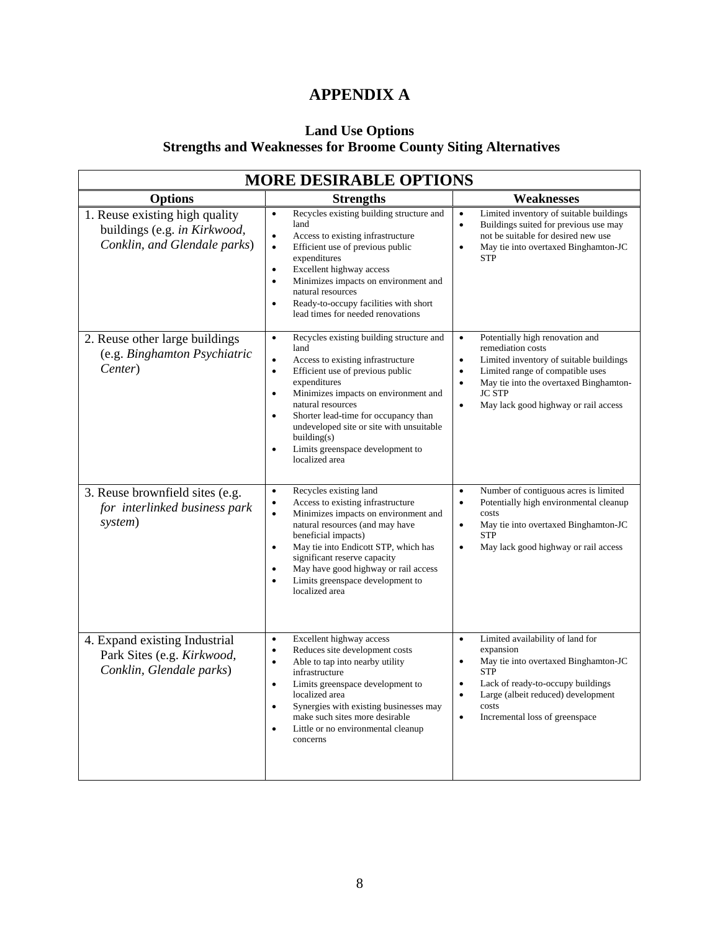# **APPENDIX A**

## **Land Use Options Strengths and Weaknesses for Broome County Siting Alternatives**

| <b>MORE DESIRABLE OPTIONS</b>                                                                  |                                                                                                                                                                                                                                                                                                                                                                                                                                               |                                                                                                                                                                                                                                                                                            |  |
|------------------------------------------------------------------------------------------------|-----------------------------------------------------------------------------------------------------------------------------------------------------------------------------------------------------------------------------------------------------------------------------------------------------------------------------------------------------------------------------------------------------------------------------------------------|--------------------------------------------------------------------------------------------------------------------------------------------------------------------------------------------------------------------------------------------------------------------------------------------|--|
| <b>Options</b>                                                                                 | <b>Strengths</b>                                                                                                                                                                                                                                                                                                                                                                                                                              | Weaknesses                                                                                                                                                                                                                                                                                 |  |
| 1. Reuse existing high quality<br>buildings (e.g. in Kirkwood,<br>Conklin, and Glendale parks) | Recycles existing building structure and<br>$\bullet$<br>land<br>Access to existing infrastructure<br>$\bullet$<br>Efficient use of previous public<br>$\bullet$<br>expenditures<br>Excellent highway access<br>$\bullet$<br>Minimizes impacts on environment and<br>$\bullet$<br>natural resources<br>Ready-to-occupy facilities with short<br>$\bullet$<br>lead times for needed renovations                                                | Limited inventory of suitable buildings<br>$\bullet$<br>Buildings suited for previous use may<br>not be suitable for desired new use<br>May tie into overtaxed Binghamton-JC<br>$\bullet$<br><b>STP</b>                                                                                    |  |
| 2. Reuse other large buildings<br>(e.g. Binghamton Psychiatric<br>Center)                      | Recycles existing building structure and<br>$\bullet$<br>land<br>$\bullet$<br>Access to existing infrastructure<br>Efficient use of previous public<br>$\bullet$<br>expenditures<br>Minimizes impacts on environment and<br>$\bullet$<br>natural resources<br>Shorter lead-time for occupancy than<br>$\bullet$<br>undeveloped site or site with unsuitable<br>building(s)<br>Limits greenspace development to<br>$\bullet$<br>localized area | Potentially high renovation and<br>$\bullet$<br>remediation costs<br>Limited inventory of suitable buildings<br>$\bullet$<br>Limited range of compatible uses<br>$\bullet$<br>May tie into the overtaxed Binghamton-<br>$\bullet$<br><b>JC STP</b><br>May lack good highway or rail access |  |
| 3. Reuse brownfield sites (e.g.<br>for interlinked business park<br>system)                    | Recycles existing land<br>$\bullet$<br>Access to existing infrastructure<br>$\bullet$<br>$\bullet$<br>Minimizes impacts on environment and<br>natural resources (and may have<br>beneficial impacts)<br>May tie into Endicott STP, which has<br>$\bullet$<br>significant reserve capacity<br>May have good highway or rail access<br>Limits greenspace development to<br>$\bullet$<br>localized area                                          | Number of contiguous acres is limited<br>$\bullet$<br>Potentially high environmental cleanup<br>$\bullet$<br>costs<br>May tie into overtaxed Binghamton-JC<br>$\bullet$<br><b>STP</b><br>May lack good highway or rail access<br>$\bullet$                                                 |  |
| 4. Expand existing Industrial<br>Park Sites (e.g. Kirkwood,<br>Conklin, Glendale parks)        | Excellent highway access<br>$\bullet$<br>Reduces site development costs<br>$\bullet$<br>Able to tap into nearby utility<br>$\bullet$<br>infrastructure<br>Limits greenspace development to<br>$\bullet$<br>localized area<br>Synergies with existing businesses may<br>$\bullet$<br>make such sites more desirable<br>Little or no environmental cleanup<br>$\bullet$<br>concerns                                                             | Limited availability of land for<br>$\bullet$<br>expansion<br>May tie into overtaxed Binghamton-JC<br>$\bullet$<br><b>STP</b><br>Lack of ready-to-occupy buildings<br>$\bullet$<br>Large (albeit reduced) development<br>$\bullet$<br>costs<br>Incremental loss of greenspace<br>$\bullet$ |  |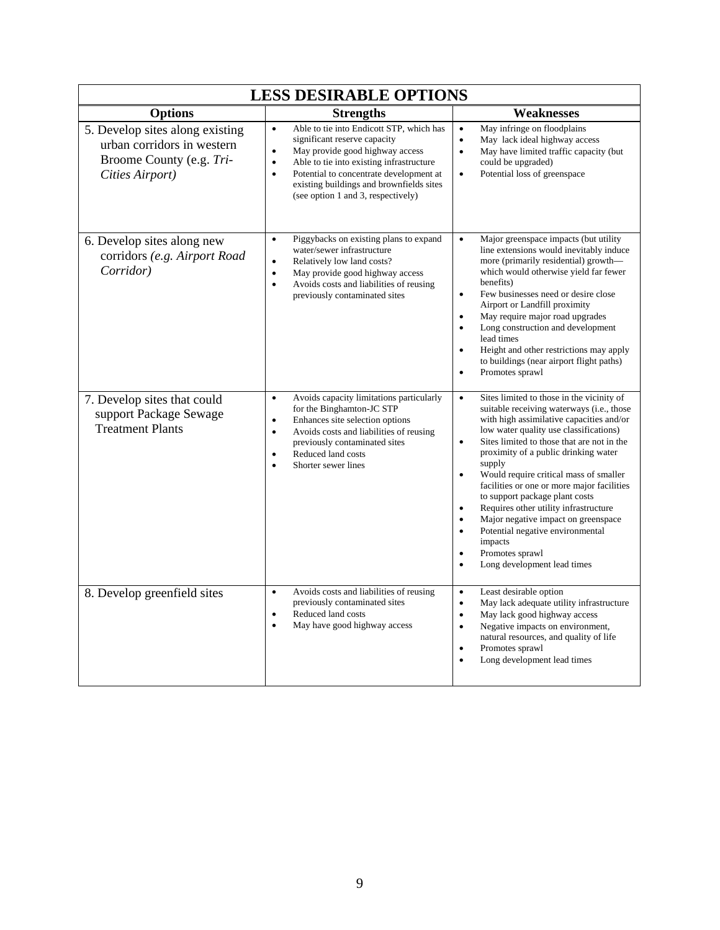| <b>LESS DESIRABLE OPTIONS</b>                                                                                |                                                                                                                                                                                                                                                                                                                                          |                                                                                                                                                                                                                                                                                                                                                                                                                                                                                                                                                                                                                                                                                    |  |
|--------------------------------------------------------------------------------------------------------------|------------------------------------------------------------------------------------------------------------------------------------------------------------------------------------------------------------------------------------------------------------------------------------------------------------------------------------------|------------------------------------------------------------------------------------------------------------------------------------------------------------------------------------------------------------------------------------------------------------------------------------------------------------------------------------------------------------------------------------------------------------------------------------------------------------------------------------------------------------------------------------------------------------------------------------------------------------------------------------------------------------------------------------|--|
| <b>Options</b>                                                                                               | <b>Strengths</b>                                                                                                                                                                                                                                                                                                                         | <b>Weaknesses</b>                                                                                                                                                                                                                                                                                                                                                                                                                                                                                                                                                                                                                                                                  |  |
| 5. Develop sites along existing<br>urban corridors in western<br>Broome County (e.g. Tri-<br>Cities Airport) | $\bullet$<br>Able to tie into Endicott STP, which has<br>significant reserve capacity<br>$\bullet$<br>May provide good highway access<br>Able to tie into existing infrastructure<br>$\bullet$<br>Potential to concentrate development at<br>$\bullet$<br>existing buildings and brownfields sites<br>(see option 1 and 3, respectively) | $\bullet$<br>May infringe on floodplains<br>May lack ideal highway access<br>$\bullet$<br>$\bullet$<br>May have limited traffic capacity (but<br>could be upgraded)<br>Potential loss of greenspace<br>$\bullet$                                                                                                                                                                                                                                                                                                                                                                                                                                                                   |  |
| 6. Develop sites along new<br>corridors (e.g. Airport Road<br>Corridor)                                      | Piggybacks on existing plans to expand<br>$\bullet$<br>water/sewer infrastructure<br>Relatively low land costs?<br>$\bullet$<br>May provide good highway access<br>$\bullet$<br>Avoids costs and liabilities of reusing<br>$\bullet$<br>previously contaminated sites                                                                    | Major greenspace impacts (but utility<br>$\bullet$<br>line extensions would inevitably induce<br>more (primarily residential) growth—<br>which would otherwise yield far fewer<br>benefits)<br>Few businesses need or desire close<br>$\bullet$<br>Airport or Landfill proximity<br>May require major road upgrades<br>$\bullet$<br>Long construction and development<br>$\bullet$<br>lead times<br>Height and other restrictions may apply<br>$\bullet$<br>to buildings (near airport flight paths)<br>Promotes sprawl<br>$\bullet$                                                                                                                                               |  |
| 7. Develop sites that could<br>support Package Sewage<br><b>Treatment Plants</b>                             | Avoids capacity limitations particularly<br>$\bullet$<br>for the Binghamton-JC STP<br>Enhances site selection options<br>$\bullet$<br>Avoids costs and liabilities of reusing<br>$\bullet$<br>previously contaminated sites<br>Reduced land costs<br>$\bullet$<br>Shorter sewer lines<br>$\bullet$                                       | Sites limited to those in the vicinity of<br>$\bullet$<br>suitable receiving waterways (i.e., those<br>with high assimilative capacities and/or<br>low water quality use classifications)<br>Sites limited to those that are not in the<br>$\bullet$<br>proximity of a public drinking water<br>supply<br>Would require critical mass of smaller<br>$\bullet$<br>facilities or one or more major facilities<br>to support package plant costs<br>Requires other utility infrastructure<br>$\bullet$<br>Major negative impact on greenspace<br>$\bullet$<br>Potential negative environmental<br>$\bullet$<br>impacts<br>Promotes sprawl<br>$\bullet$<br>Long development lead times |  |
| 8. Develop greenfield sites                                                                                  | Avoids costs and liabilities of reusing<br>$\bullet$<br>previously contaminated sites<br>Reduced land costs<br>$\bullet$<br>$\bullet$<br>May have good highway access                                                                                                                                                                    | Least desirable option<br>$\bullet$<br>May lack adequate utility infrastructure<br>$\bullet$<br>May lack good highway access<br>$\bullet$<br>Negative impacts on environment,<br>$\bullet$<br>natural resources, and quality of life<br>Promotes sprawl<br>$\bullet$<br>Long development lead times<br>$\bullet$                                                                                                                                                                                                                                                                                                                                                                   |  |